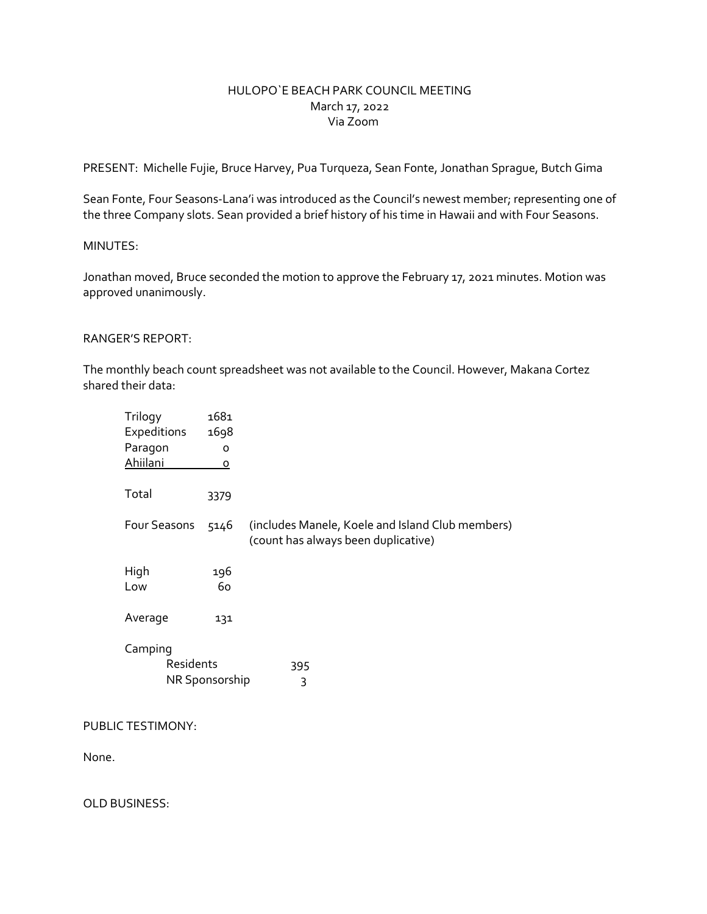## HULOPO`E BEACH PARK COUNCIL MEETING March 17, 2022 Via Zoom

PRESENT: Michelle Fujie, Bruce Harvey, Pua Turqueza, Sean Fonte, Jonathan Sprague, Butch Gima

Sean Fonte, Four Seasons-Lana'i was introduced as the Council's newest member; representing one of the three Company slots. Sean provided a brief history of his time in Hawaii and with Four Seasons.

## MINUTES:

Jonathan moved, Bruce seconded the motion to approve the February 17, 2021 minutes. Motion was approved unanimously.

### RANGER'S REPORT:

The monthly beach count spreadsheet was not available to the Council. However, Makana Cortez shared their data:

| Trilogy<br>Expeditions | 1681<br>1698   |                                                                                         |
|------------------------|----------------|-----------------------------------------------------------------------------------------|
| Paragon                | $\circ$        |                                                                                         |
| Ahiilani               | o              |                                                                                         |
| Total                  | 3379           |                                                                                         |
| Four Seasons           | 5146           | (includes Manele, Koele and Island Club members)<br>(count has always been duplicative) |
| High<br>Low            | 196<br>60      |                                                                                         |
| Average                | 131            |                                                                                         |
| Camping<br>Residents   | NR Sponsorship | 395<br>3                                                                                |

PUBLIC TESTIMONY:

None.

OLD BUSINESS: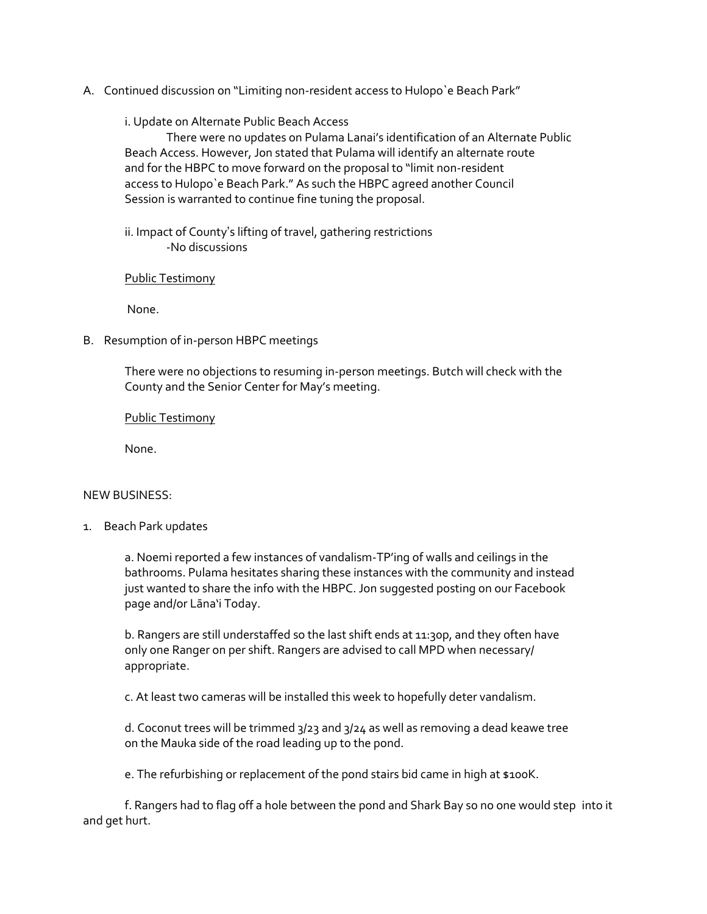A. Continued discussion on "Limiting non-resident access to Hulopo`e Beach Park"

### i. Update on Alternate Public Beach Access

There were no updates on Pulama Lanai's identification of an Alternate Public Beach Access. However, Jon stated that Pulama will identify an alternate route and for the HBPC to move forward on the proposal to "limit non-resident access to Hulopo`e Beach Park." As such the HBPC agreed another Council Session is warranted to continue fine tuning the proposal.

ii. Impact of County's lifting of travel, gathering restrictions -No discussions

### Public Testimony

None.

B. Resumption of in-person HBPC meetings

There were no objections to resuming in-person meetings. Butch will check with the County and the Senior Center for May's meeting.

Public Testimony

None.

### NEW BUSINESS:

1. Beach Park updates

a. Noemi reported a few instances of vandalism-TP'ing of walls and ceilings in the bathrooms. Pulama hesitates sharing these instances with the community and instead just wanted to share the info with the HBPC. Jon suggested posting on our Facebook page and/or Lāna'i Today.

b. Rangers are still understaffed so the last shift ends at 11:30p, and they often have only one Ranger on per shift. Rangers are advised to call MPD when necessary/ appropriate.

c. At least two cameras will be installed this week to hopefully deter vandalism.

d. Coconut trees will be trimmed 3/23 and 3/24 as well as removing a dead keawe tree on the Mauka side of the road leading up to the pond.

e. The refurbishing or replacement of the pond stairs bid came in high at \$100K.

f. Rangers had to flag off a hole between the pond and Shark Bay so no one would step into it and get hurt.